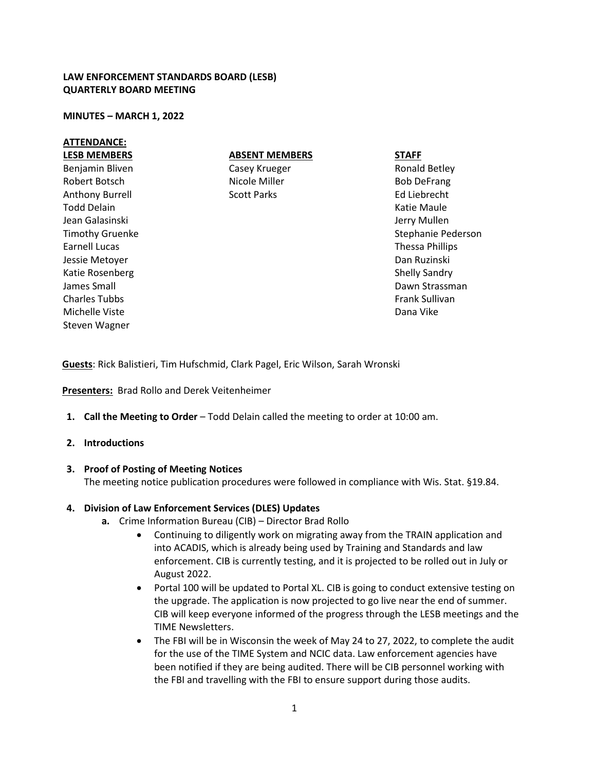### **LAW ENFORCEMENT STANDARDS BOARD (LESB) QUARTERLY BOARD MEETING**

#### **MINUTES – MARCH 1, 2022**

### **ATTENDANCE:**

**LESB MEMBERS** Benjamin Bliven Robert Botsch Anthony Burrell Todd Delain Jean Galasinski Timothy Gruenke Earnell Lucas Jessie Metoyer Katie Rosenberg James Small Charles Tubbs Michelle Viste Steven Wagner

## **ABSENT MEMBERS**

Casey Krueger Nicole Miller Scott Parks

**STAFF**

Ronald Betley Bob DeFrang Ed Liebrecht Katie Maule Jerry Mullen Stephanie Pederson Thessa Phillips Dan Ruzinski Shelly Sandry Dawn Strassman Frank Sullivan Dana Vike

**Guests**: Rick Balistieri, Tim Hufschmid, Clark Pagel, Eric Wilson, Sarah Wronski

**Presenters:** Brad Rollo and Derek Veitenheimer

**1. Call the Meeting to Order** – Todd Delain called the meeting to order at 10:00 am.

### **2. Introductions**

### **3. Proof of Posting of Meeting Notices**

The meeting notice publication procedures were followed in compliance with Wis. Stat. §19.84.

### **4. Division of Law Enforcement Services (DLES) Updates**

- **a.** Crime Information Bureau (CIB) Director Brad Rollo
	- Continuing to diligently work on migrating away from the TRAIN application and into ACADIS, which is already being used by Training and Standards and law enforcement. CIB is currently testing, and it is projected to be rolled out in July or August 2022.
	- Portal 100 will be updated to Portal XL. CIB is going to conduct extensive testing on the upgrade. The application is now projected to go live near the end of summer. CIB will keep everyone informed of the progress through the LESB meetings and the TIME Newsletters.
	- The FBI will be in Wisconsin the week of May 24 to 27, 2022, to complete the audit for the use of the TIME System and NCIC data. Law enforcement agencies have been notified if they are being audited. There will be CIB personnel working with the FBI and travelling with the FBI to ensure support during those audits.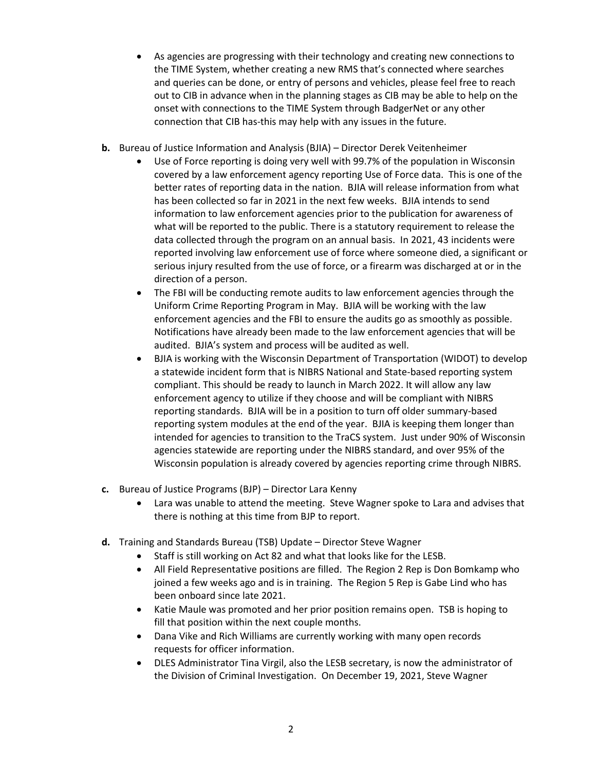- As agencies are progressing with their technology and creating new connections to the TIME System, whether creating a new RMS that's connected where searches and queries can be done, or entry of persons and vehicles, please feel free to reach out to CIB in advance when in the planning stages as CIB may be able to help on the onset with connections to the TIME System through BadgerNet or any other connection that CIB has-this may help with any issues in the future.
- **b.** Bureau of Justice Information and Analysis (BJIA) Director Derek Veitenheimer
	- Use of Force reporting is doing very well with 99.7% of the population in Wisconsin covered by a law enforcement agency reporting Use of Force data. This is one of the better rates of reporting data in the nation. BJIA will release information from what has been collected so far in 2021 in the next few weeks. BJIA intends to send information to law enforcement agencies prior to the publication for awareness of what will be reported to the public. There is a statutory requirement to release the data collected through the program on an annual basis. In 2021, 43 incidents were reported involving law enforcement use of force where someone died, a significant or serious injury resulted from the use of force, or a firearm was discharged at or in the direction of a person.
	- The FBI will be conducting remote audits to law enforcement agencies through the Uniform Crime Reporting Program in May. BJIA will be working with the law enforcement agencies and the FBI to ensure the audits go as smoothly as possible. Notifications have already been made to the law enforcement agencies that will be audited. BJIA's system and process will be audited as well.
	- BJIA is working with the Wisconsin Department of Transportation (WIDOT) to develop a statewide incident form that is NIBRS National and State-based reporting system compliant. This should be ready to launch in March 2022. It will allow any law enforcement agency to utilize if they choose and will be compliant with NIBRS reporting standards. BJIA will be in a position to turn off older summary-based reporting system modules at the end of the year. BJIA is keeping them longer than intended for agencies to transition to the TraCS system. Just under 90% of Wisconsin agencies statewide are reporting under the NIBRS standard, and over 95% of the Wisconsin population is already covered by agencies reporting crime through NIBRS.
- **c.** Bureau of Justice Programs (BJP) Director Lara Kenny
	- Lara was unable to attend the meeting. Steve Wagner spoke to Lara and advises that there is nothing at this time from BJP to report.
- **d.** Training and Standards Bureau (TSB) Update Director Steve Wagner
	- Staff is still working on Act 82 and what that looks like for the LESB.
	- All Field Representative positions are filled. The Region 2 Rep is Don Bomkamp who joined a few weeks ago and is in training. The Region 5 Rep is Gabe Lind who has been onboard since late 2021.
	- Katie Maule was promoted and her prior position remains open. TSB is hoping to fill that position within the next couple months.
	- Dana Vike and Rich Williams are currently working with many open records requests for officer information.
	- DLES Administrator Tina Virgil, also the LESB secretary, is now the administrator of the Division of Criminal Investigation. On December 19, 2021, Steve Wagner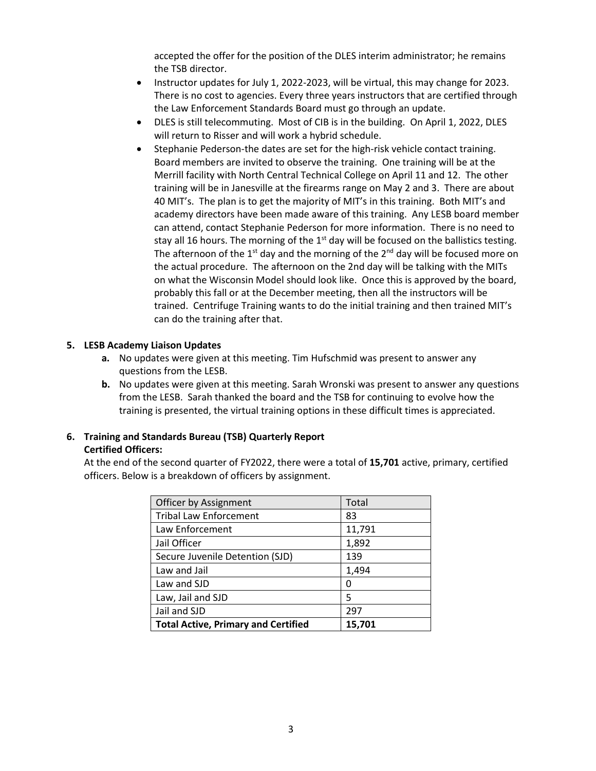accepted the offer for the position of the DLES interim administrator; he remains the TSB director.

- Instructor updates for July 1, 2022-2023, will be virtual, this may change for 2023. There is no cost to agencies. Every three years instructors that are certified through the Law Enforcement Standards Board must go through an update.
- DLES is still telecommuting. Most of CIB is in the building. On April 1, 2022, DLES will return to Risser and will work a hybrid schedule.
- Stephanie Pederson-the dates are set for the high-risk vehicle contact training. Board members are invited to observe the training. One training will be at the Merrill facility with North Central Technical College on April 11 and 12. The other training will be in Janesville at the firearms range on May 2 and 3. There are about 40 MIT's. The plan is to get the majority of MIT's in this training. Both MIT's and academy directors have been made aware of this training. Any LESB board member can attend, contact Stephanie Pederson for more information. There is no need to stay all 16 hours. The morning of the  $1<sup>st</sup>$  day will be focused on the ballistics testing. The afternoon of the 1<sup>st</sup> day and the morning of the 2<sup>nd</sup> day will be focused more on the actual procedure. The afternoon on the 2nd day will be talking with the MITs on what the Wisconsin Model should look like. Once this is approved by the board, probably this fall or at the December meeting, then all the instructors will be trained. Centrifuge Training wants to do the initial training and then trained MIT's can do the training after that.

## **5. LESB Academy Liaison Updates**

- **a.** No updates were given at this meeting. Tim Hufschmid was present to answer any questions from the LESB.
- **b.** No updates were given at this meeting. Sarah Wronski was present to answer any questions from the LESB. Sarah thanked the board and the TSB for continuing to evolve how the training is presented, the virtual training options in these difficult times is appreciated.

## **6. Training and Standards Bureau (TSB) Quarterly Report**

## **Certified Officers:**

At the end of the second quarter of FY2022, there were a total of **15,701** active, primary, certified officers. Below is a breakdown of officers by assignment.

| Officer by Assignment                      | Total  |
|--------------------------------------------|--------|
| <b>Tribal Law Enforcement</b>              | 83     |
| Law Enforcement                            | 11,791 |
| Jail Officer                               | 1,892  |
| Secure Juvenile Detention (SJD)            | 139    |
| Law and Jail                               | 1,494  |
| Law and SJD                                | 0      |
| Law, Jail and SJD                          | 5      |
| Jail and SJD                               | 297    |
| <b>Total Active, Primary and Certified</b> | 15,701 |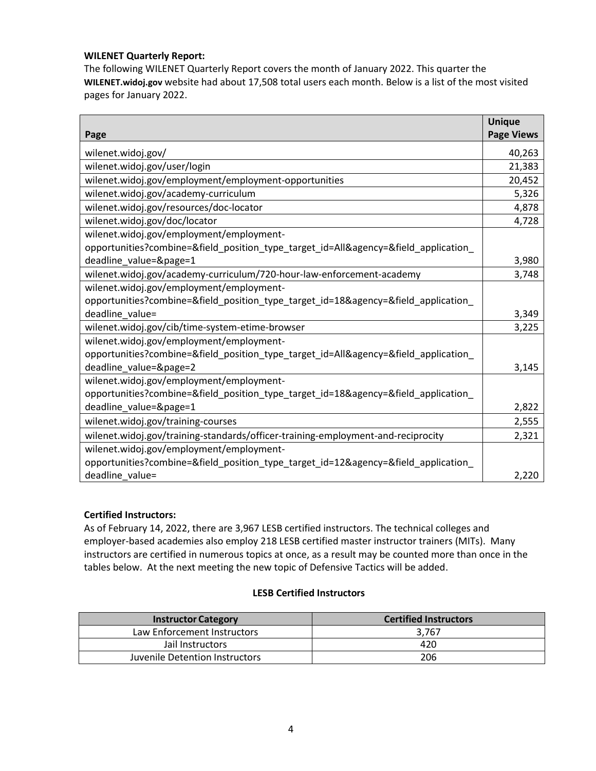## **WILENET Quarterly Report:**

The following WILENET Quarterly Report covers the month of January 2022. This quarter the **WILENET.widoj.gov** website had about 17,508 total users each month. Below is a list of the most visited pages for January 2022.

|                                                                                     | <b>Unique</b>     |
|-------------------------------------------------------------------------------------|-------------------|
| Page                                                                                | <b>Page Views</b> |
| wilenet.widoj.gov/                                                                  | 40,263            |
| wilenet.widoj.gov/user/login                                                        | 21,383            |
| wilenet.widoj.gov/employment/employment-opportunities                               | 20,452            |
| wilenet.widoj.gov/academy-curriculum                                                | 5,326             |
| wilenet.widoj.gov/resources/doc-locator                                             | 4,878             |
| wilenet.widoj.gov/doc/locator                                                       | 4,728             |
| wilenet.widoj.gov/employment/employment-                                            |                   |
| opportunities?combine=&field_position_type_target_id=All&agency=&field_application_ |                   |
| deadline value=&page=1                                                              | 3,980             |
| wilenet.widoj.gov/academy-curriculum/720-hour-law-enforcement-academy               | 3,748             |
| wilenet.widoj.gov/employment/employment-                                            |                   |
| opportunities?combine=&field_position_type_target_id=18&agency=&field_application_  |                   |
| deadline value=                                                                     | 3,349             |
| wilenet.widoj.gov/cib/time-system-etime-browser                                     | 3,225             |
| wilenet.widoj.gov/employment/employment-                                            |                   |
| opportunities?combine=&field_position_type_target_id=All&agency=&field_application_ |                   |
| deadline_value=&page=2                                                              | 3,145             |
| wilenet.widoj.gov/employment/employment-                                            |                   |
| opportunities?combine=&field_position_type_target_id=18&agency=&field_application_  |                   |
| deadline_value=&page=1                                                              | 2,822             |
| wilenet.widoj.gov/training-courses                                                  | 2,555             |
| wilenet.widoj.gov/training-standards/officer-training-employment-and-reciprocity    | 2,321             |
| wilenet.widoj.gov/employment/employment-                                            |                   |
| opportunities?combine=&field_position_type_target_id=12&agency=&field_application_  |                   |
| deadline value=                                                                     | 2,220             |

## **Certified Instructors:**

As of February 14, 2022, there are 3,967 LESB certified instructors. The technical colleges and employer-based academies also employ 218 LESB certified master instructor trainers (MITs). Many instructors are certified in numerous topics at once, as a result may be counted more than once in the tables below. At the next meeting the new topic of Defensive Tactics will be added.

## **LESB Certified Instructors**

| <b>Instructor Category</b>     | <b>Certified Instructors</b> |
|--------------------------------|------------------------------|
| Law Enforcement Instructors    | 3.767                        |
| Jail Instructors               | 420                          |
| Juvenile Detention Instructors | 206                          |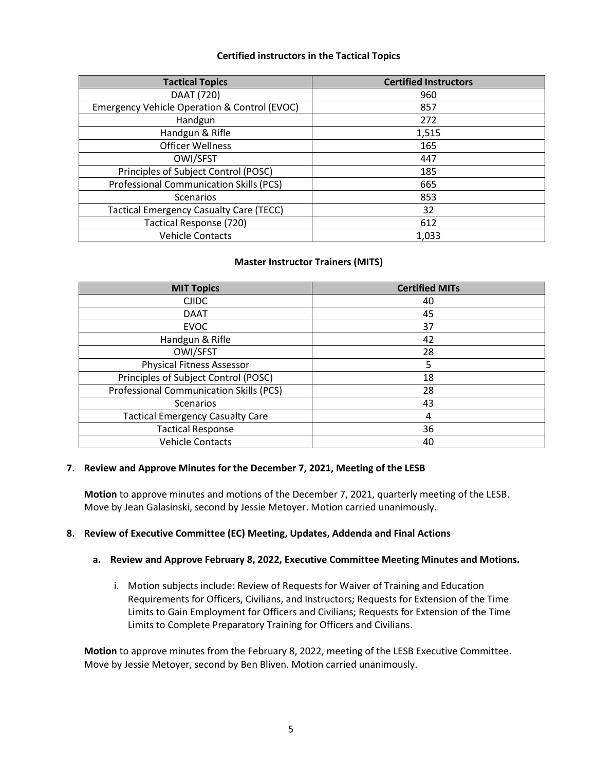## **Certified instructors in the Tactical Topics**

| <b>Tactical Topics</b>                         | <b>Certified Instructors</b> |
|------------------------------------------------|------------------------------|
| DAAT (720)                                     | 960                          |
| Emergency Vehicle Operation & Control (EVOC)   | 857                          |
| Handgun                                        | 272                          |
| Handgun & Rifle                                | 1,515                        |
| <b>Officer Wellness</b>                        | 165                          |
| OWI/SFST                                       | 447                          |
| Principles of Subject Control (POSC)           | 185                          |
| Professional Communication Skills (PCS)        | 665                          |
| <b>Scenarios</b>                               | 853                          |
| <b>Tactical Emergency Casualty Care (TECC)</b> | 32                           |
| Tactical Response (720)                        | 612                          |
| <b>Vehicle Contacts</b>                        | 1,033                        |

## **Master Instructor Trainers (MITS)**

| <b>MIT Topics</b>                       | <b>Certified MITs</b> |
|-----------------------------------------|-----------------------|
| <b>CJIDC</b>                            | 40                    |
| <b>DAAT</b>                             | 45                    |
| <b>EVOC</b>                             | 37                    |
| Handgun & Rifle                         | 42                    |
| OWI/SFST                                | 28                    |
| <b>Physical Fitness Assessor</b>        | 5                     |
| Principles of Subject Control (POSC)    | 18                    |
| Professional Communication Skills (PCS) | 28                    |
| Scenarios                               | 43                    |
| <b>Tactical Emergency Casualty Care</b> | 4                     |
| <b>Tactical Response</b>                | 36                    |
| <b>Vehicle Contacts</b>                 | 40                    |

### **7. Review and Approve Minutes for the December 7, 2021, Meeting of the LESB**

**Motion** to approve minutes and motions of the December 7, 2021, quarterly meeting of the LESB. Move by Jean Galasinski, second by Jessie Metoyer. Motion carried unanimously.

### **8. Review of Executive Committee (EC) Meeting, Updates, Addenda and Final Actions**

### **a. Review and Approve February 8, 2022, Executive Committee Meeting Minutes and Motions.**

i. Motion subjects include: Review of Requests for Waiver of Training and Education Requirements for Officers, Civilians, and Instructors; Requests for Extension of the Time Limits to Gain Employment for Officers and Civilians; Requests for Extension of the Time Limits to Complete Preparatory Training for Officers and Civilians.

**Motion** to approve minutes from the February 8, 2022, meeting of the LESB Executive Committee. Move by Jessie Metoyer, second by Ben Bliven. Motion carried unanimously.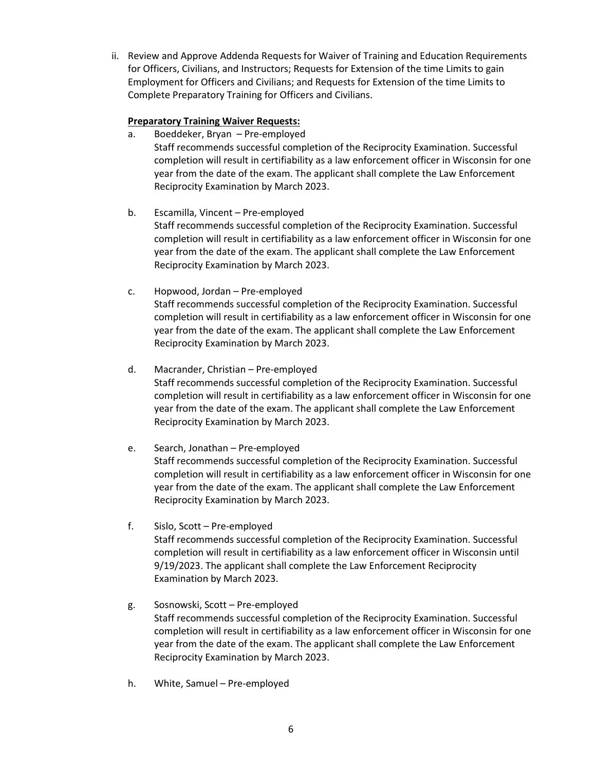ii. Review and Approve Addenda Requests for Waiver of Training and Education Requirements for Officers, Civilians, and Instructors; Requests for Extension of the time Limits to gain Employment for Officers and Civilians; and Requests for Extension of the time Limits to Complete Preparatory Training for Officers and Civilians.

## **Preparatory Training Waiver Requests:**

- a. Boeddeker, Bryan Pre-employed Staff recommends successful completion of the Reciprocity Examination. Successful completion will result in certifiability as a law enforcement officer in Wisconsin for one year from the date of the exam. The applicant shall complete the Law Enforcement Reciprocity Examination by March 2023.
- b. Escamilla, Vincent Pre-employed Staff recommends successful completion of the Reciprocity Examination. Successful completion will result in certifiability as a law enforcement officer in Wisconsin for one year from the date of the exam. The applicant shall complete the Law Enforcement Reciprocity Examination by March 2023.
- c. Hopwood, Jordan Pre-employed Staff recommends successful completion of the Reciprocity Examination. Successful completion will result in certifiability as a law enforcement officer in Wisconsin for one year from the date of the exam. The applicant shall complete the Law Enforcement Reciprocity Examination by March 2023.
- d. Macrander, Christian Pre-employed Staff recommends successful completion of the Reciprocity Examination. Successful completion will result in certifiability as a law enforcement officer in Wisconsin for one year from the date of the exam. The applicant shall complete the Law Enforcement Reciprocity Examination by March 2023.
- e. Search, Jonathan Pre-employed Staff recommends successful completion of the Reciprocity Examination. Successful completion will result in certifiability as a law enforcement officer in Wisconsin for one year from the date of the exam. The applicant shall complete the Law Enforcement Reciprocity Examination by March 2023.
- f. Sislo, Scott Pre-employed Staff recommends successful completion of the Reciprocity Examination. Successful completion will result in certifiability as a law enforcement officer in Wisconsin until 9/19/2023. The applicant shall complete the Law Enforcement Reciprocity Examination by March 2023.
- g. Sosnowski, Scott Pre-employed Staff recommends successful completion of the Reciprocity Examination. Successful completion will result in certifiability as a law enforcement officer in Wisconsin for one year from the date of the exam. The applicant shall complete the Law Enforcement Reciprocity Examination by March 2023.
- h. White, Samuel Pre-employed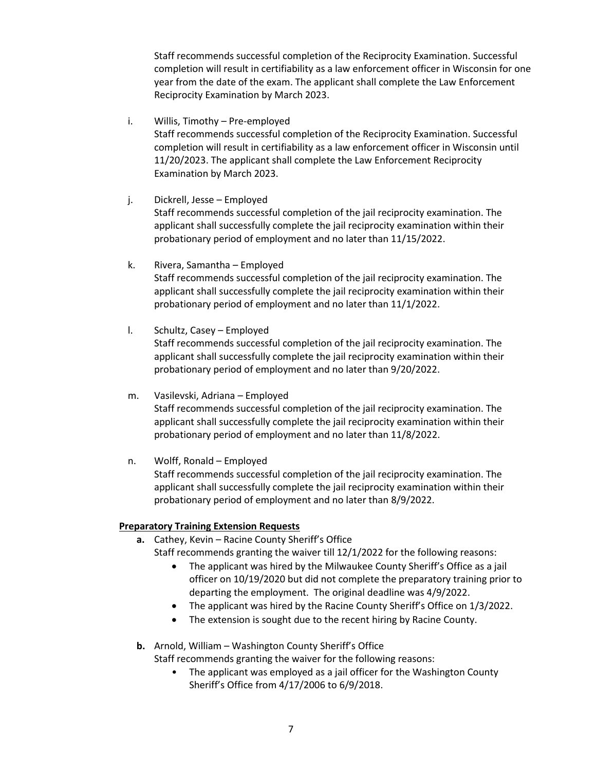Staff recommends successful completion of the Reciprocity Examination. Successful completion will result in certifiability as a law enforcement officer in Wisconsin for one year from the date of the exam. The applicant shall complete the Law Enforcement Reciprocity Examination by March 2023.

i. Willis, Timothy – Pre-employed Staff recommends successful completion of the Reciprocity Examination. Successful completion will result in certifiability as a law enforcement officer in Wisconsin until 11/20/2023. The applicant shall complete the Law Enforcement Reciprocity Examination by March 2023.

- j. Dickrell, Jesse Employed Staff recommends successful completion of the jail reciprocity examination. The applicant shall successfully complete the jail reciprocity examination within their probationary period of employment and no later than 11/15/2022.
- k. Rivera, Samantha Employed Staff recommends successful completion of the jail reciprocity examination. The applicant shall successfully complete the jail reciprocity examination within their probationary period of employment and no later than 11/1/2022.
- l. Schultz, Casey Employed Staff recommends successful completion of the jail reciprocity examination. The applicant shall successfully complete the jail reciprocity examination within their probationary period of employment and no later than 9/20/2022.
- m. Vasilevski, Adriana Employed Staff recommends successful completion of the jail reciprocity examination. The applicant shall successfully complete the jail reciprocity examination within their probationary period of employment and no later than 11/8/2022.
- n. Wolff, Ronald Employed Staff recommends successful completion of the jail reciprocity examination. The applicant shall successfully complete the jail reciprocity examination within their probationary period of employment and no later than 8/9/2022.

## **Preparatory Training Extension Requests**

- **a.** Cathey, Kevin Racine County Sheriff's Office Staff recommends granting the waiver till 12/1/2022 for the following reasons:
	- The applicant was hired by the Milwaukee County Sheriff's Office as a jail officer on 10/19/2020 but did not complete the preparatory training prior to departing the employment. The original deadline was 4/9/2022.
	- The applicant was hired by the Racine County Sheriff's Office on 1/3/2022.
	- The extension is sought due to the recent hiring by Racine County.
- **b.** Arnold, William Washington County Sheriff's Office Staff recommends granting the waiver for the following reasons:
	- The applicant was employed as a jail officer for the Washington County Sheriff's Office from 4/17/2006 to 6/9/2018.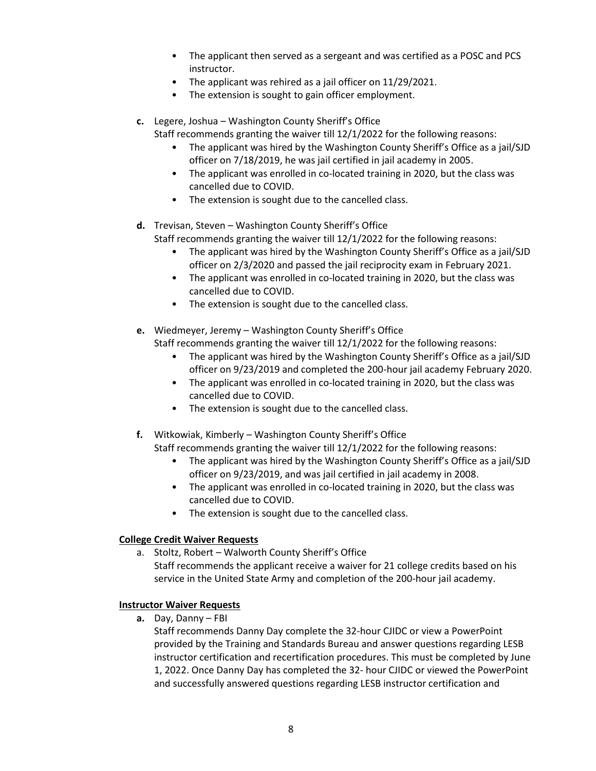- The applicant then served as a sergeant and was certified as a POSC and PCS instructor.
- The applicant was rehired as a jail officer on 11/29/2021.
- The extension is sought to gain officer employment.
- **c.** Legere, Joshua Washington County Sheriff's Office
	- Staff recommends granting the waiver till 12/1/2022 for the following reasons:
		- The applicant was hired by the Washington County Sheriff's Office as a jail/SJD officer on 7/18/2019, he was jail certified in jail academy in 2005.
		- The applicant was enrolled in co-located training in 2020, but the class was cancelled due to COVID.
		- The extension is sought due to the cancelled class.
- **d.** Trevisan, Steven Washington County Sheriff's Office
	- Staff recommends granting the waiver till 12/1/2022 for the following reasons:
		- The applicant was hired by the Washington County Sheriff's Office as a jail/SJD officer on 2/3/2020 and passed the jail reciprocity exam in February 2021.
		- The applicant was enrolled in co-located training in 2020, but the class was cancelled due to COVID.
		- The extension is sought due to the cancelled class.
- **e.** Wiedmeyer, Jeremy Washington County Sheriff's Office Staff recommends granting the waiver till 12/1/2022 for the following reasons:
	- The applicant was hired by the Washington County Sheriff's Office as a jail/SJD officer on 9/23/2019 and completed the 200-hour jail academy February 2020.
	- The applicant was enrolled in co-located training in 2020, but the class was cancelled due to COVID.
	- The extension is sought due to the cancelled class.
- **f.** Witkowiak, Kimberly Washington County Sheriff's Office
	- Staff recommends granting the waiver till 12/1/2022 for the following reasons:
		- The applicant was hired by the Washington County Sheriff's Office as a jail/SJD officer on 9/23/2019, and was jail certified in jail academy in 2008.
		- The applicant was enrolled in co-located training in 2020, but the class was cancelled due to COVID.
		- The extension is sought due to the cancelled class.

## **College Credit Waiver Requests**

a. Stoltz, Robert – Walworth County Sheriff's Office Staff recommends the applicant receive a waiver for 21 college credits based on his service in the United State Army and completion of the 200-hour jail academy.

## **Instructor Waiver Requests**

**a.** Day, Danny – FBI

Staff recommends Danny Day complete the 32-hour CJIDC or view a PowerPoint provided by the Training and Standards Bureau and answer questions regarding LESB instructor certification and recertification procedures. This must be completed by June 1, 2022. Once Danny Day has completed the 32- hour CJIDC or viewed the PowerPoint and successfully answered questions regarding LESB instructor certification and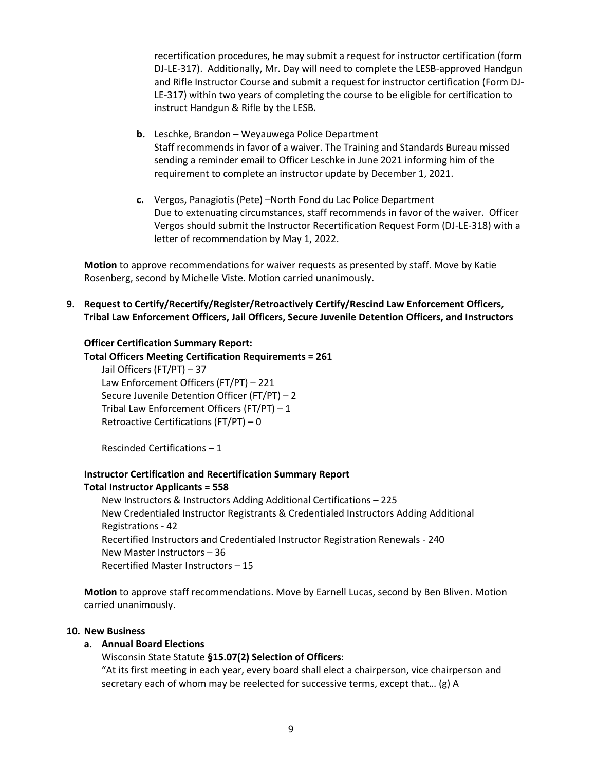recertification procedures, he may submit a request for instructor certification (form DJ-LE-317). Additionally, Mr. Day will need to complete the LESB-approved Handgun and Rifle Instructor Course and submit a request for instructor certification (Form DJ-LE-317) within two years of completing the course to be eligible for certification to instruct Handgun & Rifle by the LESB.

- **b.** Leschke, Brandon Weyauwega Police Department Staff recommends in favor of a waiver. The Training and Standards Bureau missed sending a reminder email to Officer Leschke in June 2021 informing him of the requirement to complete an instructor update by December 1, 2021.
- **c.** Vergos, Panagiotis (Pete) –North Fond du Lac Police Department Due to extenuating circumstances, staff recommends in favor of the waiver. Officer Vergos should submit the Instructor Recertification Request Form (DJ-LE-318) with a letter of recommendation by May 1, 2022.

**Motion** to approve recommendations for waiver requests as presented by staff. Move by Katie Rosenberg, second by Michelle Viste. Motion carried unanimously.

**9. Request to Certify/Recertify/Register/Retroactively Certify/Rescind Law Enforcement Officers, Tribal Law Enforcement Officers, Jail Officers, Secure Juvenile Detention Officers, and Instructors** 

### **Officer Certification Summary Report:**

**Total Officers Meeting Certification Requirements = 261**

Jail Officers (FT/PT) – 37 Law Enforcement Officers (FT/PT) – 221 Secure Juvenile Detention Officer (FT/PT) – 2 Tribal Law Enforcement Officers (FT/PT) – 1 Retroactive Certifications (FT/PT) – 0

Rescinded Certifications – 1

# **Instructor Certification and Recertification Summary Report**

### **Total Instructor Applicants = 558**

New Instructors & Instructors Adding Additional Certifications – 225 New Credentialed Instructor Registrants & Credentialed Instructors Adding Additional Registrations - 42 Recertified Instructors and Credentialed Instructor Registration Renewals - 240 New Master Instructors – 36 Recertified Master Instructors – 15

**Motion** to approve staff recommendations. Move by Earnell Lucas, second by Ben Bliven. Motion carried unanimously.

### **10. New Business**

## **a. Annual Board Elections**

## Wisconsin State Statute **§15.07(2) Selection of Officers**:

"At its first meeting in each year, every board shall elect a chairperson, vice chairperson and secretary each of whom may be reelected for successive terms, except that… (g) A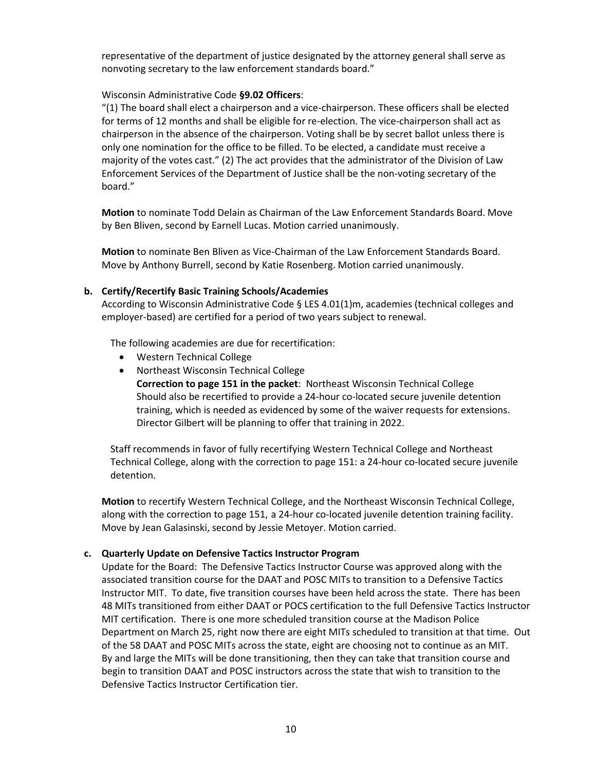representative of the department of justice designated by the attorney general shall serve as nonvoting secretary to the law enforcement standards board."

## Wisconsin Administrative Code **§9.02 Officers**:

"(1) The board shall elect a chairperson and a vice-chairperson. These officers shall be elected for terms of 12 months and shall be eligible for re-election. The vice-chairperson shall act as chairperson in the absence of the chairperson. Voting shall be by secret ballot unless there is only one nomination for the office to be filled. To be elected, a candidate must receive a majority of the votes cast." (2) The act provides that the administrator of the Division of Law Enforcement Services of the Department of Justice shall be the non-voting secretary of the board."

**Motion** to nominate Todd Delain as Chairman of the Law Enforcement Standards Board. Move by Ben Bliven, second by Earnell Lucas. Motion carried unanimously.

**Motion** to nominate Ben Bliven as Vice-Chairman of the Law Enforcement Standards Board. Move by Anthony Burrell, second by Katie Rosenberg. Motion carried unanimously.

## **b. Certify/Recertify Basic Training Schools/Academies**

According to Wisconsin Administrative Code § LES 4.01(1)m, academies (technical colleges and employer-based) are certified for a period of two years subject to renewal.

The following academies are due for recertification:

- Western Technical College
- Northeast Wisconsin Technical College

**Correction to page 151 in the packet**: Northeast Wisconsin Technical College Should also be recertified to provide a 24-hour co-located secure juvenile detention training, which is needed as evidenced by some of the waiver requests for extensions. Director Gilbert will be planning to offer that training in 2022.

Staff recommends in favor of fully recertifying Western Technical College and Northeast Technical College, along with the correction to page 151: a 24-hour co-located secure juvenile detention.

**Motion** to recertify Western Technical College, and the Northeast Wisconsin Technical College, along with the correction to page 151, a 24-hour co-located juvenile detention training facility. Move by Jean Galasinski, second by Jessie Metoyer. Motion carried.

## **c. Quarterly Update on Defensive Tactics Instructor Program**

Update for the Board: The Defensive Tactics Instructor Course was approved along with the associated transition course for the DAAT and POSC MITs to transition to a Defensive Tactics Instructor MIT. To date, five transition courses have been held across the state. There has been 48 MITs transitioned from either DAAT or POCS certification to the full Defensive Tactics Instructor MIT certification. There is one more scheduled transition course at the Madison Police Department on March 25, right now there are eight MITs scheduled to transition at that time. Out of the 58 DAAT and POSC MITs across the state, eight are choosing not to continue as an MIT. By and large the MITs will be done transitioning, then they can take that transition course and begin to transition DAAT and POSC instructors across the state that wish to transition to the Defensive Tactics Instructor Certification tier.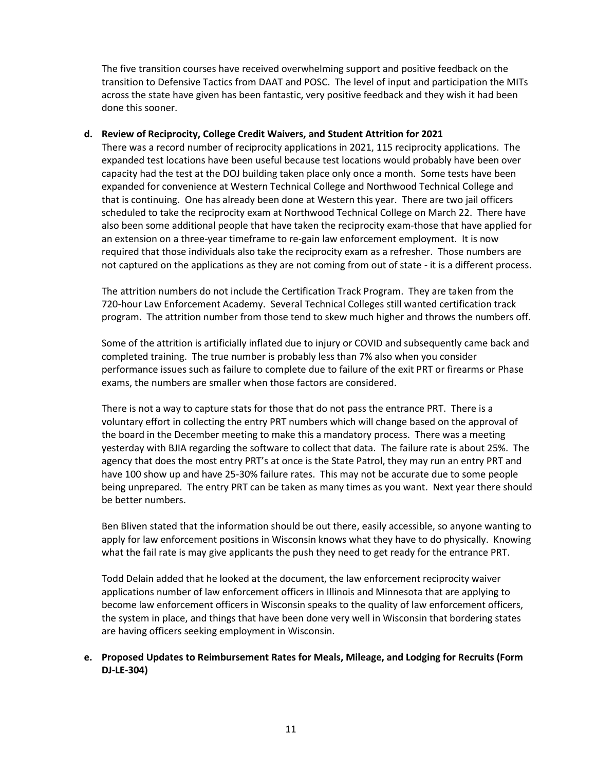The five transition courses have received overwhelming support and positive feedback on the transition to Defensive Tactics from DAAT and POSC. The level of input and participation the MITs across the state have given has been fantastic, very positive feedback and they wish it had been done this sooner.

## **d. Review of Reciprocity, College Credit Waivers, and Student Attrition for 2021**

There was a record number of reciprocity applications in 2021, 115 reciprocity applications. The expanded test locations have been useful because test locations would probably have been over capacity had the test at the DOJ building taken place only once a month. Some tests have been expanded for convenience at Western Technical College and Northwood Technical College and that is continuing. One has already been done at Western this year. There are two jail officers scheduled to take the reciprocity exam at Northwood Technical College on March 22. There have also been some additional people that have taken the reciprocity exam-those that have applied for an extension on a three-year timeframe to re-gain law enforcement employment. It is now required that those individuals also take the reciprocity exam as a refresher. Those numbers are not captured on the applications as they are not coming from out of state - it is a different process.

The attrition numbers do not include the Certification Track Program. They are taken from the 720-hour Law Enforcement Academy. Several Technical Colleges still wanted certification track program. The attrition number from those tend to skew much higher and throws the numbers off.

Some of the attrition is artificially inflated due to injury or COVID and subsequently came back and completed training. The true number is probably less than 7% also when you consider performance issues such as failure to complete due to failure of the exit PRT or firearms or Phase exams, the numbers are smaller when those factors are considered.

There is not a way to capture stats for those that do not pass the entrance PRT. There is a voluntary effort in collecting the entry PRT numbers which will change based on the approval of the board in the December meeting to make this a mandatory process. There was a meeting yesterday with BJIA regarding the software to collect that data. The failure rate is about 25%. The agency that does the most entry PRT's at once is the State Patrol, they may run an entry PRT and have 100 show up and have 25-30% failure rates. This may not be accurate due to some people being unprepared. The entry PRT can be taken as many times as you want. Next year there should be better numbers.

Ben Bliven stated that the information should be out there, easily accessible, so anyone wanting to apply for law enforcement positions in Wisconsin knows what they have to do physically. Knowing what the fail rate is may give applicants the push they need to get ready for the entrance PRT.

Todd Delain added that he looked at the document, the law enforcement reciprocity waiver applications number of law enforcement officers in Illinois and Minnesota that are applying to become law enforcement officers in Wisconsin speaks to the quality of law enforcement officers, the system in place, and things that have been done very well in Wisconsin that bordering states are having officers seeking employment in Wisconsin.

## **e. Proposed Updates to Reimbursement Rates for Meals, Mileage, and Lodging for Recruits (Form DJ-LE-304)**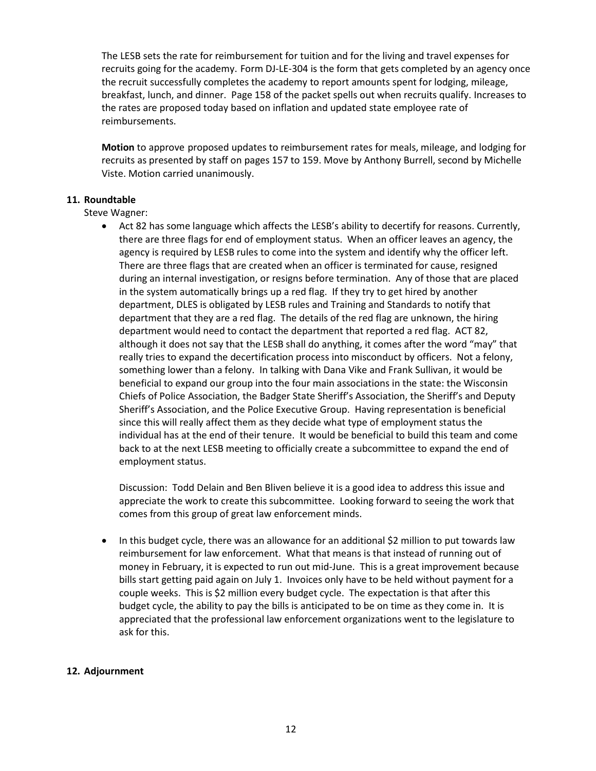The LESB sets the rate for reimbursement for tuition and for the living and travel expenses for recruits going for the academy. Form DJ-LE-304 is the form that gets completed by an agency once the recruit successfully completes the academy to report amounts spent for lodging, mileage, breakfast, lunch, and dinner. Page 158 of the packet spells out when recruits qualify. Increases to the rates are proposed today based on inflation and updated state employee rate of reimbursements.

**Motion** to approve proposed updates to reimbursement rates for meals, mileage, and lodging for recruits as presented by staff on pages 157 to 159. Move by Anthony Burrell, second by Michelle Viste. Motion carried unanimously.

## **11. Roundtable**

Steve Wagner:

• Act 82 has some language which affects the LESB's ability to decertify for reasons. Currently, there are three flags for end of employment status. When an officer leaves an agency, the agency is required by LESB rules to come into the system and identify why the officer left. There are three flags that are created when an officer is terminated for cause, resigned during an internal investigation, or resigns before termination. Any of those that are placed in the system automatically brings up a red flag. If they try to get hired by another department, DLES is obligated by LESB rules and Training and Standards to notify that department that they are a red flag. The details of the red flag are unknown, the hiring department would need to contact the department that reported a red flag. ACT 82, although it does not say that the LESB shall do anything, it comes after the word "may" that really tries to expand the decertification process into misconduct by officers. Not a felony, something lower than a felony. In talking with Dana Vike and Frank Sullivan, it would be beneficial to expand our group into the four main associations in the state: the Wisconsin Chiefs of Police Association, the Badger State Sheriff's Association, the Sheriff's and Deputy Sheriff's Association, and the Police Executive Group. Having representation is beneficial since this will really affect them as they decide what type of employment status the individual has at the end of their tenure. It would be beneficial to build this team and come back to at the next LESB meeting to officially create a subcommittee to expand the end of employment status.

Discussion: Todd Delain and Ben Bliven believe it is a good idea to address this issue and appreciate the work to create this subcommittee. Looking forward to seeing the work that comes from this group of great law enforcement minds.

• In this budget cycle, there was an allowance for an additional \$2 million to put towards law reimbursement for law enforcement. What that means is that instead of running out of money in February, it is expected to run out mid-June. This is a great improvement because bills start getting paid again on July 1. Invoices only have to be held without payment for a couple weeks. This is \$2 million every budget cycle. The expectation is that after this budget cycle, the ability to pay the bills is anticipated to be on time as they come in. It is appreciated that the professional law enforcement organizations went to the legislature to ask for this.

## **12. Adjournment**